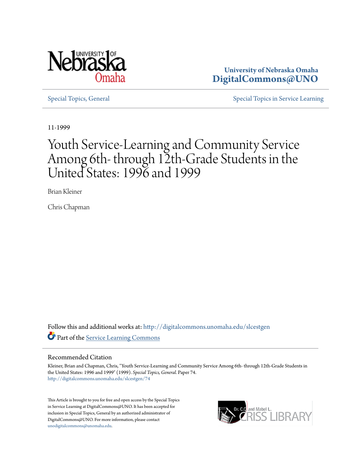

**University of Nebraska Omaha [DigitalCommons@UNO](http://digitalcommons.unomaha.edu?utm_source=digitalcommons.unomaha.edu%2Fslcestgen%2F74&utm_medium=PDF&utm_campaign=PDFCoverPages)**

[Special Topics, General](http://digitalcommons.unomaha.edu/slcestgen?utm_source=digitalcommons.unomaha.edu%2Fslcestgen%2F74&utm_medium=PDF&utm_campaign=PDFCoverPages) [Special Topics in Service Learning](http://digitalcommons.unomaha.edu/slcespecialtopics?utm_source=digitalcommons.unomaha.edu%2Fslcestgen%2F74&utm_medium=PDF&utm_campaign=PDFCoverPages)

11-1999

# Youth Service-Learning and Community Service Among 6th- through 12th-Grade Students in the United States: 1996 and 1999

Brian Kleiner

Chris Chapman

Follow this and additional works at: [http://digitalcommons.unomaha.edu/slcestgen](http://digitalcommons.unomaha.edu/slcestgen?utm_source=digitalcommons.unomaha.edu%2Fslcestgen%2F74&utm_medium=PDF&utm_campaign=PDFCoverPages) Part of the [Service Learning Commons](http://network.bepress.com/hgg/discipline/1024?utm_source=digitalcommons.unomaha.edu%2Fslcestgen%2F74&utm_medium=PDF&utm_campaign=PDFCoverPages)

#### Recommended Citation

Kleiner, Brian and Chapman, Chris, "Youth Service-Learning and Community Service Among 6th- through 12th-Grade Students in the United States: 1996 and 1999" (1999). *Special Topics, General.* Paper 74. [http://digitalcommons.unomaha.edu/slcestgen/74](http://digitalcommons.unomaha.edu/slcestgen/74?utm_source=digitalcommons.unomaha.edu%2Fslcestgen%2F74&utm_medium=PDF&utm_campaign=PDFCoverPages)

This Article is brought to you for free and open access by the Special Topics in Service Learning at DigitalCommons@UNO. It has been accepted for inclusion in Special Topics, General by an authorized administrator of DigitalCommons@UNO. For more information, please contact [unodigitalcommons@unomaha.edu](mailto:unodigitalcommons@unomaha.edu).

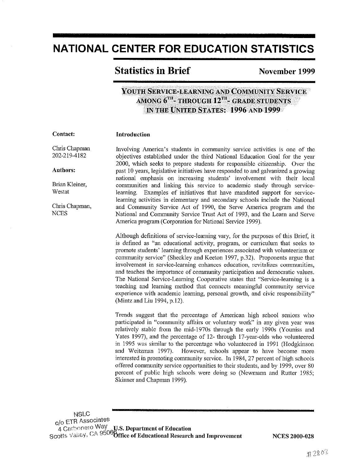## NATIONAL CENTER FOR EDUCATION STATISTICS

## **Statistics in Brief November 1999**

### YOUTH SERVICE-LEARNING AND COMMUNITY SERVICE AMONG 6\*"- THROUGH 12\*"- GRADE STUDENTS IN THE UNITED STATES: 1996 AND 1999

#### Contact: Introduction

Chris Chapman 202-219-4182

Authors:

Brian Kleiner, Westat

Chris Chapman, NCES

Involving America's students in community service activities is one of the objectives established under the third National Education Goal for the year 2000, which seeks to prepare students for responsible citizenship. Over the past 10 years, legislative initiatives have responded to and galvanized a growing national emphasis on increasing students' involvement with their local communities and linking this service to academic study through servicelearning. Examples of initiatives that have mandated support for servicelearning activities in elementary and secondary schools include the National and Community Service Act of 1990, the Serve America program and the National and Community Service Trust Act of 1993, and the Learn and Serve America program (Corporation for National Service 1999).

Although definitions of service-learning vary, for the purposes of this Brief; it is defined as "an educational activity, program, or curriculum that seeks to promote students' learning through experiences associated with volunteerism or community service" (Sheckley and Keeton 1997, p.32). Proponents argue that involvement in service-learning enhances education, revitalizes communities, and teaches the importance of community participation and democratic values. The National Service-Learning Cooperative states that "Service-learning is a teaching and learning method that connects meaningful community service experience with academic learning, personal growth, and civic responsibility" (Mintz and Liu 1994, p.l2).

Trends suggest that the percentage of American high school seniors who participated in "conununity affairs or voluntary work" in any given year was relatively stable from the mid-1970s through the early 1990s (Youniss and Yates 1997), and the percentage of 12- through 17-year-olds who volunteered in 1995 was similar to the percentage who volunteered in 1991 (Hodgkinson and Weitzman 1997). However, schools appear to have become more interested in promoting community service. In 1984, 27 percent of high schools offered community service opportunities to their students, and by 1999, over 80 percent of public high schools were doing so (Newmann and Rutter 1985; Skinner and Chapman 1999).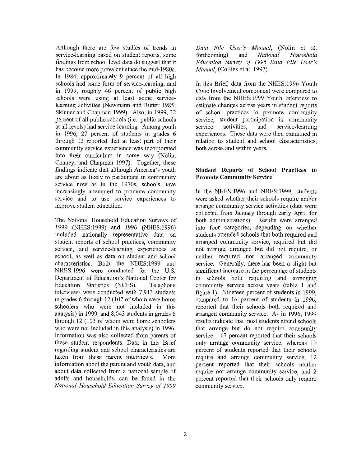Although there are few studies of trends in service-learning based on student reports, some findings from school level data do suggest that it has become more prevalent since the mid-1980s. In 1984, approximately 9 percent of all high schools had some form of service-learning, and in 1999, roughly 46 percent of public high **schools were using at least some service**learning activities (Newmann and Rutter 1985; Skinner and Chapman 1999). Also, in 1999, 32 percent of all public schools (i.e., public schools at all levels) had service-learning. Among youth in 1996, 27 percent of students in grades 6 through 12 reported that at least part of their **connnunity service experience was incorporated**  into their curriculum in some way (Nolin, Chaney, and Chapman 1997). Together, these findings indicate that although America's youth are about as likely to participate in community service now as in the 1970s, schools have increasingly attempted to promote community **service and to use service experiences to**  improve student education.

The National Household Education Surveys of 1999 (NHES:1999) and 1996 (NHES:1996) included nationally representative data on student reports of school practices, community **service, and service-learning experiences at**  school, as well as data on student and school characteristics. Both the NHES: 1999 and NHES: 1996 were conducted for the U.S. Department of Education's National Center for Education Statistics (NCES). Telephone interviews were conducted with 7,913 students in grades 6 through 12 (107 of whom were home schoolers who were not included in this analysis) in 1999, and 8,043 students in grades 6 through 12 (103 of whom were home schoolers who were not included in this analysis) in 1996. Information was also collected from parents of these student respondents. Data in this Brief regarding student and school characteristics are taken from these parent interviews. More information about the parent and youth data, and about data collected from a national sample of adults and households, can be found in the *National Household Education Survey of 1999* 

*Data File User's Manual,* (Nolin et al. forthcoming) and *National Household Education Survey of' 1996 Data File User's Manual,* (Collins et al. 1997).

In this Brief, data from the NHES: 1996 Youth **Civic Involvement component were compared to**  data from the NHES:1999 Youth Interview to estimate changes across years in student reports of school practices to promote community **service, student participation in connnunity service activities, and service-learning experiences. These data were then examined in relation to student and school characteristics,**  both across and within years.

#### **Student Reports of School Practices to Promote Community Service**

In the NHES:1996 and NHES:1999, students were asked whether their schools require and/or **arrange cmmnunity service activities (data were**  collected from January through early April for both administrations). Results were arranged into four categories, depending on whether students attended schools that both required and arranged community service, required but did **not arrange, arranged but did not require, or neither required nor arranged community**  service. Generally, there has been a slight but significant increase in the percentage of students m schools both requiring and arranging community service across years (table 1 and figure 1). Nineteen percent of students in 1999, compared to 16 percent of students in 1996, reported that their schools both required and arranged community service. As in 1996, 1999 results indicate that most students attend schools that arrange but do not require community service  $-67$  percent reported that their schools **only arrange community service, whereas 19**  percent of students reported that their schools **require and arrange community service, 12**  percent reported that their schools neither **require nor arrange community service, and 2**  percent reported that their schools only require community service.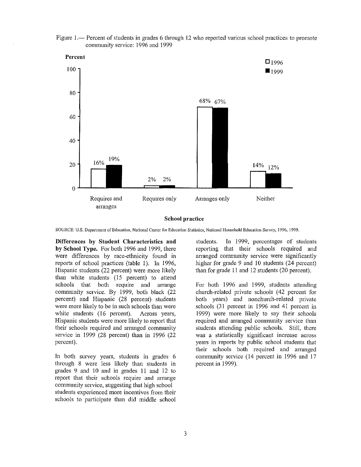



#### **School practice**

**SOURCE: U.S. Department of Education, National Center for Education Statistics, National Household Education Survey, 1996, 1999.** 

**Differences by Student Characteristics and by School Type.** For both 1996 and 1999, there were differences by race-ethnicity found in reports of school practices (table 1). In 1996, Hispanic students (22 percent) were more likely than white students (15 percent) to attend schools that both require and arrange community service. By 1999, both black (22 percent) and Hispanic (28 percent) students were more likely to be in such schools than were white students (16 percent). Across years, Hispanic students were more likely to report that their schools required and arranged community service in 1999 (28 percent) than in 1996 (22 percent).

In both survey years, students in grades 6 through 8 were less likely than students in grades  $9$  and  $10$  and in grades  $11$  and  $12$  to report that their schools require and arrange community service, suggesting that high school students experienced more incentives from their schools to participate than did middle school students. In 1999, percentages of students reporting that their schools required and arranged community service were significantly higher for grade 9 and 10 students  $(24$  percent) than for grade II and 12 students (20 percent).

For both 1996 and 1999, students attending church-related private schools (42 percent for both years) and nonchurch-related private schools (31 percent in 1996 and 41 percent in 1999) were more likely to say their schools required and arranged community service than students attending public schools. Still, there **was a statistically significant increase across**  years in reports by public school students that their schools both required and arranged community service ( 14 percent in 1996 and 17 percent in 1999).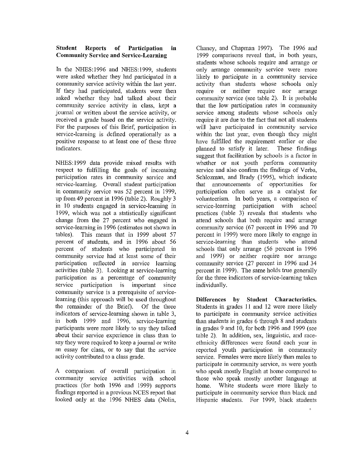#### **Student Reports of Participation in Community Service and Service-Learning**

In the NHES:1996 and NHES:1999, students were asked whether they had participated in a community service activity within the last year. If they had participated, students were then asked whether they had talked about their community service activity in class, kept a journal or written about the service activity, or received a grade based on the service activity. For the purposes of this Brief, participation in service-learning is defined operationally as a positive response to at least one of these three **indicators.** 

NHES: 1999 data provide mixed results with respect to fulfilling the goals of increasing **participation rates in community service and**  service-learning. Overall student participation in community service was 52 percent in 1999, up from 49 percent in 1996 (table 2). Roughly 3 in 10 students engaged in service-learning in 1999, which was not a statistically significant change from the 27 percent who engaged in service-learning in 1996 (estimates not shown in tables). This means that in 1999 about 57 This means that in 1999 about 57 percent of students, and in 1996 about 56 percent of students who participated in community service had at least some of their participation reflected in service learning activities (table 3). Looking at service-learning participation as a percentage of community **service participation is important since community service is a prerequisite of service**learning (this approach will be used throughout the remainder of the Brief). Of the three indicators of service-learning shown in table 3, in both 1999 and 1996, service-learning participants were more likely to say they talked about their service experience in class than to say they were required to keep a journal or write an essay for class, or to say that the service activity contributed to a class grade.

A comparison of overall participation in community service activities with school practices (for both 1996 and 1999) supports findings reported in a previous NCES report that looked only at the 1996 NHES data (Nolin,

Chaney, and Chapman 1997). The 1996 and 1999 comparisons reveal that, in both years, students whose schools require and arrange or **only arrange community service were tnore**  likely to participate in a community service activity than students whose schools only **require or neither require nor arrange**  community service (see table 2). It is probable that the low participation rates in community **service among students whose schools only**  require it are due to the fact that not all students will have participated in community service within the last year, even though they might have fulfilled the requirement earlier or else planned to satisfy it later. These findings suggest that facilitation by schools is a factor in whether or not youth perform community service and also confirm the findings of Verba, Schlozman, and Brady (1995), which indicate that announcements of opportunities for participation often serve as a catalyst for volunteerism. In both years, a comparison of service-learning participation with school practices (table 3) reveals that students who attend schools that both require and arrange community service (67 percent in 1996 and 70 percent in 1999) were more likely to engage in service-learning than students who attend schools that only arrange (56 percent in 1996 and 1999) or neither require nor arrange community service (27 percent in 1996 and 34 percent in 1999). The same holds true generally for the three indicators of service-learning taken individually.

**Differences by Student Characteristics.**  Students in grades II and 12 were more likely **to participate in community service activities**  than students in grades 6 through 8 and students in grades 9 and 10, for both !996 and 1999 (see **table 2). In addition, sex, linguistic, and race**ethnicity differences were found each year in reported youth participation in community service. Females were more likely than males to **participate in community service, as were youth**  who speak mostly English at home compared to those who speak mostly another language at home. White students were more likely to participate in community service than black and Hispanic students. For 1999, black students

ķ.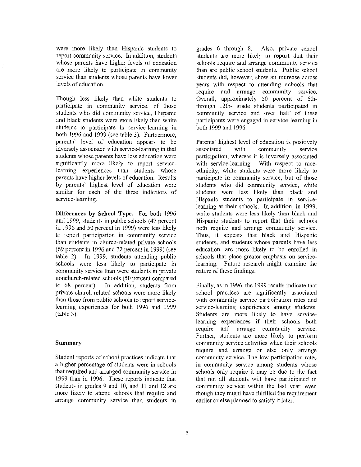were more likely than Hispanic students to report community service. In addition, students whose parents have higher levels of education are more likely to participate in community service than students whose parents have lower levels of education.

Though less likely than white students to participate in community service, of those students who did community service, Hispanic and black students were more likely than white **students to participate in service-learning in**  both 1996 and 1999 (see table 3). Furthermore, parents' level of education appears to be inversely associated with service-learning in that students whose parents have less education were significantly more likely to report servicelearning experiences than students whose parents have higher levels of education. Results by parents' highest level of education were similar for each of the three indicators of **service-learning.** 

**Differences by School Type.** For both 1996 and 1999, students in public schools (47 percent in 1996 and 50 percent in 1999) were less likely to report participation in community service than students in church-related private schools (69 percent in 1996 and 72 percent in 1999) (see table 2). In 1999, students attending public schools were less likely to participate in **community service than were students in private**  nonchurch-related schools (50 percent compared to 68 percent). In addition, students from private church-related schools were more likely than those from public schools to report servicelearning experiences for both 1996 and 1999 (table 3).

#### **Summary**

Student reports of school practices indicate that a higher percentage of students were in schools **that required and arranged community service in**  1999 than in 1996. These reports indicate that students in grades 9 and 10, and 11 and 12 are more likely to attend schools that require and **arrange community service than students in**  grades 6 through 8. Also, private school students are more likely to report that their schools require and arrange community service than are public school students. Public school students did, however, show an increase across years with respect to attending schools that require and arrange community service. Overall, approximately 50 percent of 6ththrough 12th- grade students participated in community service and over half of these **participants were engaged in service-learning in**  both 1999 and 1996.

Parents' highest level of education is positively **associated with community service**  patticipation, whereas it is inversely associated **with service-learning. With respect to race**ethnicity, white students were more likely to **participate in community service, but of those**  students who did community service, white students were less likely than black and Hispanic students to participate in servicelearning at their schools. In addition, in 1999, white students were less likely than black and Hispanic students to report that their schools **both require and arrange conununity service.**  Thus, it appears that black and Hispanic students, and students whose parents have less education, are more likely to be enrolled in schools that place greater emphasis on servicelearning. Future research might examine the nature of these findings.

Finally, as in 1996, the 1999 results indicate that school practices are significantly associated **with community service participation rates and service-learning experiences among students.**  Students are more likely to have servicelearning experiences if their schools both require and arrange community service. Further, students are more likely to perform **cmmnunity service activities when their schools**  require and arrange or else only arrange community service. The low participation rates **in community service among students whose**  schools only require it may be due to the fact that not all students will have participated in **community service within the last year, even**  though they might have fulfilled the requirement earlier or else planned to satisfy it later.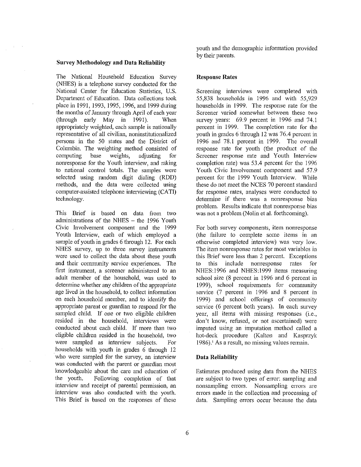#### **Survey Methodology and Data Reliability**

The National Household Education Survey (NHES) is a telephone survey conducted for the National Center for Education Statistics, U.S. Department of Education. Data collections took place in 1991, 1993, 1995, 1996, and 1999 during the months of January through April of each year (through early May in 1991). When appropriately weighted, each sample is nationally **representative of all civilian, noninstitutionalized**  persons in the 50 states and the District of Columbia. The weighting method consisted of computing base weights, adjusting for nonresponse for the Youth interview, and raking to national control totals. The samples were selected using random digit dialing (RDD) methods, and the data were collected using computer-assisted telephone interviewing (CAT!) technology.

This Brief is based on data from two administrations of the NHES - the 1996 Youth Civic Involvement component and the 1999 Youth Interview, each of which employed a sample of youth in grades 6 through 12. For each NHES survey, up to three survey instruments were used to collect the data about these youth and their community service experiences. The **first instrument, a screener administered to an**  adult member of the household, was used to determine whether any children of the appropriate age lived in the household, to collect information on each household member, and to identify the appropriate parent or guardian to respond for the sampled child. If one or two eligible children resided in the household, interviews were conducted about each child. If more than two eligible children resided in the household, two were sampled as interview subjects. For households with youth in grades 6 through 12 who were sampled for the survey, an interview was conducted with the parent or guardian most knowledgeable about the care and education of the youth. Following completion of that **interview and receipt of parental permission, an**  interview was also conducted with the youth. This Brief is based on the responses of these youth and the demographic information provided by their parents.

### **Response Rates**

Screening interviews were completed with 55,838 households in 1996 and with 55,929 households in 1999. The response rate for the **Screener varied somewhat between these two**  survey years: 69.9 percent in 1996 and 74.1 percent in 1999. The completion rate for the youth in grades 6 through 12 was 76.4 percent in 1996 and 78.1 percent in 1999. The overall response rate for youth (the product of the Screener response rate and Youth Interview completion rate) was  $53.4$  percent for the 1996 Youth Civic Involvement component and 57.9 percent for the 1999 Youth Interview. While these do not meet the NCES 70 percent standard **for response rates, analyses were conducted to determine if there was a nonresponse bias**  problem. Results indicate that nonresponse bias was not a problem (Nolin et al. forthcoming).

For both survey components, item nonresponse (the failure to complete some items in an otherwise completed interview) was very low. **The item nonresponse rates for most variables in**  this Brief were less than 2 percent. Exceptions to this include nonresponse rates for NHES:l996 and NHES:l999 items measuring school size (8 percent in 1996 and 6 percent in 1999), school requirements for community service (7 percent in 1996 and 8 percent in 1999) and school offerings of community service (6 percent both years). In each survey year, all items with missing responses (i.e., **don't know, refused, or not ascertained) were**  imputed using an imputation method called a hot-deck procedure (Kalton and Kasprzyk **1986). <sup>1</sup>As a result, no missing values remain.** 

#### **Data Reliability**

Estimates produced using data from the NHES are subject to two types of error: sampling and **nonsampling errors. Nonsampling errors are**  errors made in the collection and processing of data. Sampling errors occur because the data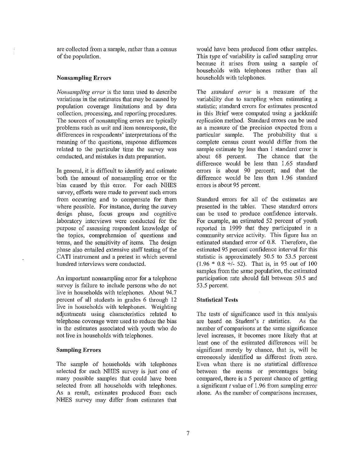**are collected from a sample, rather than a census**  of the population.

#### **Nonsampling Errors**

*Nonsarnpling error* **is the term used to describe**  variations in the estimates that may be caused by population coverage limitations and by data  $c$ ollection, processing, and reporting procedures. The sources of nonsampling errors are typically **problems such as unit and item nonresponse, the**  differences in respondents' interpretations of the meaning of the questions, response differences related to the particular time the survey was conducted, and mistakes in data preparation.

In general, it is difficult to identify and estimate both the amount of nonsampling error or the bias caused by this error. For each NHES **survey, efforts were made to prevent such errors**  from occurring and to compensate for them where possible. For instance, during the survey design phase, focus groups and cognitive laboratory interviews were conducted for the purpose of assessing respondent knowledge of the topics, comprehension of questions and terms, and the sensitivity of items. The design phase also entailed extensive staff testing of the CATI instrument and a pretest in which several hundred interviews were conducted.

An important nonsampling error for a telephone survey is failure to include persons who do not live in households with telephones. About 94.7 percent of all students in grades 6 through 12 live in households with telephones. Weighting adjustments using characteristics related to telephone coverage were used to reduce the bias in the estimates associated with youth who do not live in households with telephones.

#### **Sampling Errors**

The sample of households with telephones selected for each NHES survey is just one of many possible samples that could have been selected from all households with telephones. As a result, estimates produced from each NHES survey may differ from estimates that would have been produced from other samples. This type of variability is called sampling error because it arises from using a sample of households with telephones rather than all households with telephones.

**The** *standard error* **is a measure of the**  variability due to sampling when estimating a **statistic; standard errors for estimates presented**  in this Brief were computed using a jackknife replication method. Standard errors can be used as a measure of the precision expected from a particular sample. The probability that a complete census count would differ from the sample estimate by less than I standard error is about 68 percent. The chance that the difference would be less than 1.65 standard errors is about 90 percent; and that the difference would be less than 1.96 standard errors is about 95 percent.

Standard errors for all of the estimates are presented in the tables. These standard errors can be used to produce confidence intervals. For example, an estimated 52 percent of youth reported in 1999 that they participated in a **community service activity. This figure has an**  estimated standard error of 0.8. Therefore, the estimated 95 percent confidence interval for this statistic is approximately 50.5 to 53.5 percent (1.96 \* 0.8 +/- 52). That is, in 95 out of 100 samples from the same population, the estimated participation rate should fall between 50.5 and 53.5 percent.

#### **Statistical Tests**

The tests of significance used in this analysis are based on Student's  $t$  statistics. As the **number of comparisons at the same significance**  level increases, it becomes more likely that at least one of the estimated difrerences will be significant merely by chance, that is, will be erroneously identified as different from zero. Even when there is no statistical diflerence **between the means or percentages being**  compared, there is a 5 percent chance of getting a significant  $t$  value of 1.96 from sampling error **alone. As the number of comparisons increases,**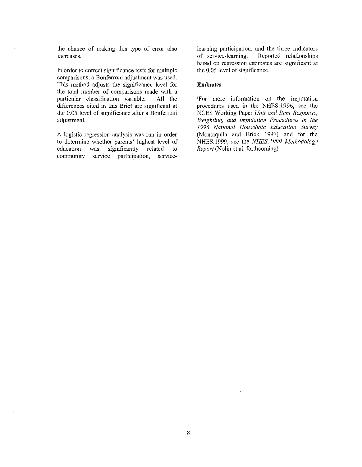the chance of making this type of error also **increases.** 

In order to correct significance tests for multiple **comparisons, a Bonferroni adjustment was used.**  This method adjusts the significance level for the total number of comparisons made with a particular classification variable. All the differences cited in this Brief are significant at the 0.05 level of significance after a Bonferroni adjustment.

**A logistic regression analysis was run in order**  to determine whether parents' highest level of education was significantly related to **community service participation, service-** learning participation, and the three indicators of service-learning. Reported relationships **based on regression estimates are significant at**  the 0.05 level of significance.

#### **Endnotes**

**1 For more information on the imputation**  procedures used in the NHES: 1996, sec the NCES Working Paper *Unit and Item Response*, *Weighting, and Imputation Procedures in the 1996 National Household Education Survey*  (Montaquila and Brick 1997) and for the NHES:1999, see the *NHES:l999 Methodology Report* (Nolin et al. forthcoming).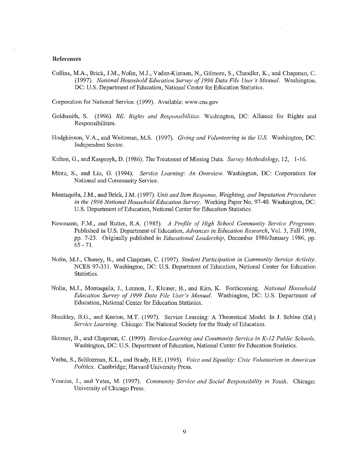#### **References**

Collins, M.A., Brick, J.M., Nolin, M.J., Vaden-Kiernan, N., Gilmore, S., Chandler, K., and Chapman, C. (I997). *National Household Education Survey of 1996 Data File User's Manual.* Washington, DC: U.S. Department of Education, National Center for Education Statistics.

Corporation for National Service. (I999). Available: www.cns.gov

- Goldsmith, S. (I996). *RE: Rights and Responsibilities.* Washington, DC: Alliance for Rights and Responsibilities.
- Hodgkinson, V.A., and Weitzman, M.S. (I997). *Giving and Volunteering in the US.* Washington, DC: Independent Sector.
- Kalton, G., and Kasprzyk, D. (1986). The Treatment of Missing Data. *Survey Methodology,* I2, l-I6.
- Mintz, S., and Liu, G. (1994). *Service Learning: An Overview.* Washington, DC: Corporation for **National and Community Service.**
- Montaquila, J.M., and Brick, J.M. (I 997). *Unit and Item Response, Weighting, and Imputation Procedures in the 1996 National Household Education Survey.* Working Paper No. 97-40. Washington, DC: U.S. Department of Education, National Center for Education Statistics.
- Newmann, F.M., and Rutter, R.A. (1985). *A Profile of High School Community Service Programs.* Published in U.S. Department of Education, *Advances in Education Research,* Vol. 3, Fall I998, pp. 7-23. Originally published in *Educational Leadership,* December I 986/.Tanuary I 986, pp.  $65 - 71$ .
- Nolin, M.J., Chaney, B., and Chapman, C. (1997). *Student Participation in Community Service Activity.*  NCES 97-331. Washington, DC: U.S. Department of Education, National Center for Education Statistics.
- Nolin, M.J., Montaquila, J., Lennon, J., Kleiner, B., and Kim, K. Forthcoming. *National Household Education Survey of 1999 Data File User's Manual.* Washington, DC: U.S. Department of Education, National Center for Education Statistics.
- Sheckley, B.G., and Keeton, M.T. (1997). Service Learning: A Theoretical Model. In J. Schine (Ed.) *Service Learning.* Chicago: The National Society for the Study of Education.
- Skinner, B., and Chapman, C. (1999). *Service-Learning and Community Service in K-12 Public Schools.*  Washington, DC: U.S. Department of Education, National Center for Education Statistics.
- Verba, S., Schlozman, K.L., and Brady, I-I.E. (1995). *Voice and Equality: Civic Voluntarism in Arnerican Politics.* Cambridge; Harvard University Press.
- Youniss, J., and Yates, M. (1997). *Community Service and Social Responsibility in Youth.* Chicago: University of Chicago Press.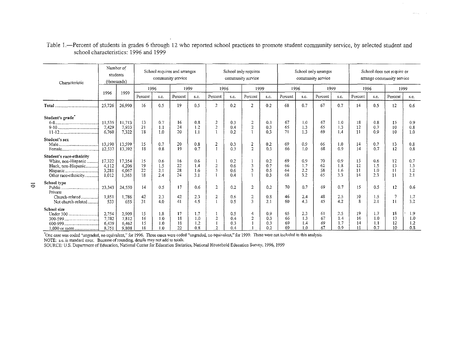| Characteristic                                                                                 | Number of<br>students<br>(thousands) |                                   | School requires and arranges<br>community service |                              |                      |                          | School only requires<br>community service |                          |                                       |                          | School only arranges<br>community service |                          |                      |                                 | School does not require or<br>arrange community service |                          |                      |                          |  |
|------------------------------------------------------------------------------------------------|--------------------------------------|-----------------------------------|---------------------------------------------------|------------------------------|----------------------|--------------------------|-------------------------------------------|--------------------------|---------------------------------------|--------------------------|-------------------------------------------|--------------------------|----------------------|---------------------------------|---------------------------------------------------------|--------------------------|----------------------|--------------------------|--|
|                                                                                                | 1996                                 | 1999                              | 1996                                              |                              | 1999                 |                          | 1996                                      |                          | 1999                                  |                          | 1996                                      |                          | 1999                 |                                 | 1996                                                    |                          | 1999                 |                          |  |
|                                                                                                |                                      |                                   | Percent                                           | s.c.                         | Percent              | s.c.                     | Percent                                   | s.e.                     | Percent                               | s.c.                     | Percent                                   | s.c.                     | Percent              | s.e.                            | Percent                                                 | s.c.                     | Percent              | s.e.                     |  |
|                                                                                                | 25 7 26                              | 26,990                            | 16                                                | 0.5                          | 19                   | 0.5                      | $\overline{c}$                            | 0.2                      | $\overline{2}$                        | 0.2                      | 68                                        | 0.7                      | 67                   | 0.7                             | 14                                                      | 0.5                      | 12                   | 0.6                      |  |
| Student's grade                                                                                | 11.535<br>7,429<br>6.760             | 11.713<br>7,933<br>7.322          | 13<br>21<br>18                                    | 0.7<br>1.1<br>1.0            | 16<br>24<br>20       | 0.8<br>1.2<br>1.1        | 2<br>$\overline{2}$                       | 0.3<br>0.4<br>0.2        | 2<br>$\overline{2}$                   | 0.3<br>0.3<br>0.3        | 67<br>65<br>71                            | 1.0<br>1.3<br>1.3        | 67<br>65<br>69       | 1.0<br>1.3<br>1.4               | 18<br>12<br>$_{11}$                                     | 0.8<br>0.7<br>0.9        | 15<br>10<br>10       | 0.9<br>0.8<br>1.0        |  |
| Student's sex                                                                                  | 13,190<br>12.537                     | 13,599<br>13,392                  | 15<br>18                                          | 0.7<br>0.8                   | 20<br>19             | 0.8<br>0.7               | 2                                         | 0.3<br>0.3               | $\overline{2}$<br>$\overline{2}$      | 0.2<br>0.3               | 69<br>66                                  | 0.9<br>1.0               | 66<br>68             | 1.0<br>0.9                      | 14<br>14                                                | 07<br>0.7                | 13<br>12             | 0.8<br>0.8               |  |
| Student's race-ethnicity<br>White, non-Hispanic<br>Black, non-Hispanic<br>Other race-ethnicity | 17,322<br>4 1 1 2<br>3,281<br>1.012  | 17,354<br>4,206<br>4,067<br>1,363 | 15<br>19<br>22<br>18                              | 06<br>1.5<br>2.1<br>2.4      | 16<br>22<br>28<br>24 | 0.6<br>1,4<br>1.6<br>3.1 | $\overline{2}$<br>3                       | 0.2<br>0.6<br>0.6<br>0.4 |                                       | 0.2<br>0.7<br>0.5<br>0.3 | 69<br>66<br>64<br>68                      | 0.9<br>1.7<br>2.2<br>3.2 | 70<br>62<br>58<br>65 | 0.9<br>1.8<br><b>1.6</b><br>3.3 | 15<br>12<br>11<br>14                                    | 0.6<br>1.5<br>1.0<br>2.3 | 12<br>13<br>11<br>11 | 0.7<br>1.3<br>1.2<br>2.1 |  |
| School type<br>Private<br>Church-related<br>Not church-related                                 | 23.343<br>1,851<br>533               | 24.550<br>1,786<br>655            | 14<br>42<br>31                                    | 0 <sub>5</sub><br>2.3<br>4.0 | 17<br>42<br>41       | 0.6<br>2.3<br>4.5        | 2<br>2                                    | 0.2<br>0.6<br>0.5        | $\overline{2}$<br>$\overline{2}$<br>3 | 0.2<br>0.8<br>2.1        | 70<br>46<br>60                            | 0.7<br>2.4<br>4.3        | 69<br>48<br>45       | 0.7<br>2.5<br>4.2               | 15<br>10<br>8                                           | 0.5<br>1.5<br>2.1        | 12<br>11             | 0.6<br>1.7<br>3.2        |  |
| School size<br>Under 300<br>300-599                                                            | 2,754<br>7.782<br>6.439<br>8.751     | 2,909<br>7.812<br>6,462<br>9.808  | 15<br>16<br>15<br>18                              | 1.8<br>1.0<br>1.0<br>1.0     | 17<br>18<br>18<br>22 | 1.7<br>1.0<br>1.2<br>0.8 | ł<br>$\overline{2}$                       | 0.5<br>0.4<br>0.3<br>0.4 | 4<br>$\overline{2}$                   | 0.9<br>0.3<br>0.3<br>0.2 | 65<br>66<br>69<br>69                      | 2.3<br>1.3<br>1.4<br>1.0 | 61<br>67<br>69<br>67 | 2.5<br>1,4<br>1.7<br>0.9        | 19<br>16<br>14<br>11                                    | 1.7<br>1.0<br>1.1<br>0.7 | 18<br>13<br>12<br>10 | 1.9<br>1.0<br>1.2<br>0.8 |  |

Table 1.—Percent of students in grades 6 through 12 who reported school practices to promote student community service, by selected student and school characteristics: 1996 and 1999

in a c

"One case was coded "ungraded, no equivalent," for 1996. Three cases were coded "ungraded, no equivalent," for 1999. These were not included in this analysis.<br>NOTE: s.e. is standard error. Because of rounding, details may

SOURCE: U.S. Department of Education, National Center for Education Statistics, National Household Education Survey, 1996, 1999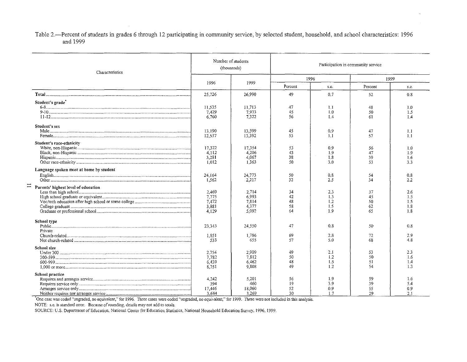Table 2.—Percent of students in grades 6 through 12 participating in community service, by selected student, household, and school characteristics: 1996 and 1999

| Characteristics                              |         | Number of students<br>(thousands) |          | Participation in community service |         |      |  |  |  |  |  |
|----------------------------------------------|---------|-----------------------------------|----------|------------------------------------|---------|------|--|--|--|--|--|
|                                              |         |                                   | 1996     |                                    |         | 1999 |  |  |  |  |  |
|                                              | 1996    | 1999                              | Percent  | s.e.                               | Percent | s.e. |  |  |  |  |  |
|                                              | 25 7 26 | 26,990                            | 49       | 0.7                                | 52      | 0.8  |  |  |  |  |  |
| Student's grade                              |         |                                   |          |                                    |         |      |  |  |  |  |  |
|                                              | 11.535  | 11.713                            | 47       | 1.1                                | 48      | 1.0  |  |  |  |  |  |
|                                              | 7.429   | 7,933                             | 45       | 1.0                                | 50      | 1.5  |  |  |  |  |  |
|                                              | 6.760   | 7,322                             | 56       | 1.4                                | 61      | 1.4  |  |  |  |  |  |
| Student's sex                                |         |                                   |          |                                    |         |      |  |  |  |  |  |
|                                              | 13,190  | 13,599                            | 45       | 0.9                                | 47      | 1.1  |  |  |  |  |  |
|                                              | 12.537  | 13,392                            | 53       | 1.1                                | 57      | 1.1  |  |  |  |  |  |
| Student's race-ethnicity                     |         |                                   |          |                                    |         |      |  |  |  |  |  |
|                                              | 17.322  | 17.354                            | 53       | 0.9                                | 56      | 1.0  |  |  |  |  |  |
|                                              | 4.112   | 4,206                             | 43       | 1.9                                | 47      | 1.9  |  |  |  |  |  |
|                                              | 3,281   | 4,067                             | 38       | 1.8                                | 39      | 1.6  |  |  |  |  |  |
|                                              | 1.012   | 1.363                             | 50       | 3.0                                | 53      | 3.3  |  |  |  |  |  |
| Language spoken most at home by student      |         |                                   |          |                                    |         |      |  |  |  |  |  |
|                                              | 24.164  | 24,773                            | 50<br>32 | 0.8                                | 54      | 0.8  |  |  |  |  |  |
|                                              | 1.562   | 2,217                             |          | 2.5                                | 34      | 2.2  |  |  |  |  |  |
| $\equiv$ Parents' highest level of education | 2,469   | 2,714                             | 34       | 2.3                                | 37      | 2.6  |  |  |  |  |  |
|                                              |         | 6.993                             | 42       | 1.3                                |         |      |  |  |  |  |  |
|                                              | 7 7 7 5 |                                   |          |                                    | 45      | 1.5  |  |  |  |  |  |
|                                              | 7.472   | 7,814                             | 48       | 1.2                                | 50      | 1.5  |  |  |  |  |  |
|                                              | 3.881   | 4.377                             | 58       | 1.5                                | 62      | 1.8  |  |  |  |  |  |
|                                              | 4.129   | 5,092                             | 64       | 1.9                                | 65      | 1.8  |  |  |  |  |  |
| School type                                  |         |                                   |          |                                    |         |      |  |  |  |  |  |
|                                              | 23.343  | 24,550                            | 47       | 0.8                                | 50      | 0.8  |  |  |  |  |  |
| Private                                      |         |                                   |          |                                    |         |      |  |  |  |  |  |
|                                              | 1.851   | 1,786                             | 69       | 2.8                                | 72      | 2.9  |  |  |  |  |  |
|                                              | 533     | 655                               | 57       | 5.0                                | 68      | 4.8  |  |  |  |  |  |
| School size                                  |         |                                   |          |                                    |         |      |  |  |  |  |  |
|                                              | 2.754   | 2,909                             | 49       | 2.1                                | 53      | 2.3  |  |  |  |  |  |
|                                              | 7.782   | 7.812                             | 50       | 1.2                                | 50      | 1.6  |  |  |  |  |  |
|                                              | 6.439   | 6.462                             | 48       | 1.5                                | 51      | 1.4  |  |  |  |  |  |
|                                              | 8.751   | 9,808                             | 49       | 1.2                                | 54      | 1.3  |  |  |  |  |  |
| School practice                              |         |                                   |          |                                    |         |      |  |  |  |  |  |
|                                              | 4 2 4 2 | 5,201                             | 56       | 1.9                                | 59      | 1.6  |  |  |  |  |  |
|                                              | 394     | 460                               | 19       | 3.9                                | 39      | 5.4  |  |  |  |  |  |
|                                              | 17.446  | 18,060                            | 52       | 0.9                                | 55      | 0.9  |  |  |  |  |  |
|                                              | 3.644   | 3.269                             | 30       | 1.7                                | 29      | 2.1  |  |  |  |  |  |

One case was coded "ungraded, no equivalent," for 1996. Three cases were coded "ungraded, no equivalent," for 1999. These were not included in this analysts.

NOTE: s.e. is standard error. Because of rounding, details may not add to totals.

SOURCE: U.S. Department of Education, National Center for Education Statistics, National Household Education Survey, 1996, 1999.